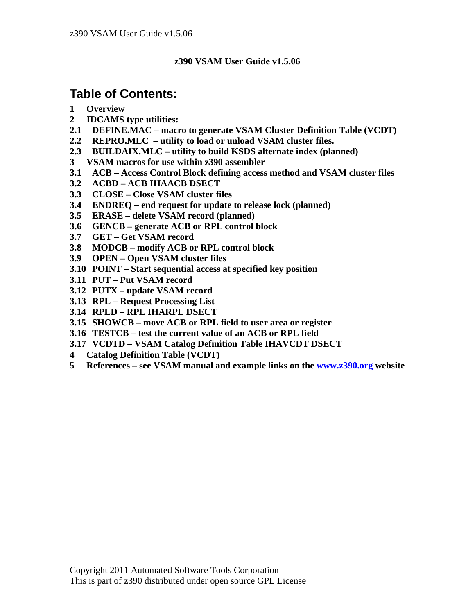### **z390 VSAM User Guide v1.5.06**

# **Table of Contents:**

- **1 Overview**
- **2 IDCAMS type utilities:**
- **2.1 DEFINE.MAC macro to generate VSAM Cluster Definition Table (VCDT)**
- **2.2 REPRO.MLC utility to load or unload VSAM cluster files.**
- **2.3 BUILDAIX.MLC utility to build KSDS alternate index (planned)**
- **3 VSAM macros for use within z390 assembler**
- **3.1 ACB Access Control Block defining access method and VSAM cluster files**
- **3.2 ACBD ACB IHAACB DSECT**
- **3.3 CLOSE Close VSAM cluster files**
- **3.4 ENDREQ end request for update to release lock (planned)**
- **3.5 ERASE delete VSAM record (planned)**
- **3.6 GENCB generate ACB or RPL control block**
- **3.7 GET Get VSAM record**
- **3.8 MODCB modify ACB or RPL control block**
- **3.9 OPEN Open VSAM cluster files**
- **3.10 POINT Start sequential access at specified key position**
- **3.11 PUT Put VSAM record**
- **3.12 PUTX update VSAM record**
- **3.13 RPL Request Processing List**
- **3.14 RPLD RPL IHARPL DSECT**
- **3.15 SHOWCB move ACB or RPL field to user area or register**
- **3.16 TESTCB test the current value of an ACB or RPL field**
- **3.17 VCDTD VSAM Catalog Definition Table IHAVCDT DSECT**
- **4 Catalog Definition Table (VCDT)**
- **5 References see VSAM manual and example links on the www.z390.org website**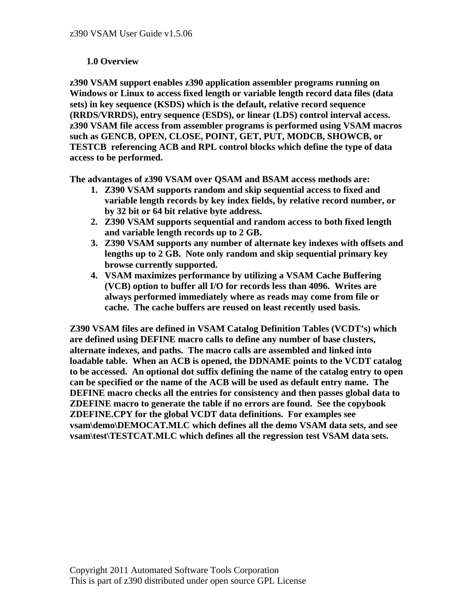#### **1.0 Overview**

**z390 VSAM support enables z390 application assembler programs running on Windows or Linux to access fixed length or variable length record data files (data sets) in key sequence (KSDS) which is the default, relative record sequence (RRDS/VRRDS), entry sequence (ESDS), or linear (LDS) control interval access. z390 VSAM file access from assembler programs is performed using VSAM macros such as GENCB, OPEN, CLOSE, POINT, GET, PUT, MODCB, SHOWCB, or TESTCB referencing ACB and RPL control blocks which define the type of data access to be performed.** 

**The advantages of z390 VSAM over QSAM and BSAM access methods are:** 

- **1. Z390 VSAM supports random and skip sequential access to fixed and variable length records by key index fields, by relative record number, or by 32 bit or 64 bit relative byte address.**
- **2. Z390 VSAM supports sequential and random access to both fixed length and variable length records up to 2 GB.**
- **3. Z390 VSAM supports any number of alternate key indexes with offsets and lengths up to 2 GB. Note only random and skip sequential primary key browse currently supported.**
- **4. VSAM maximizes performance by utilizing a VSAM Cache Buffering (VCB) option to buffer all I/O for records less than 4096. Writes are always performed immediately where as reads may come from file or cache. The cache buffers are reused on least recently used basis.**

**Z390 VSAM files are defined in VSAM Catalog Definition Tables (VCDT's) which are defined using DEFINE macro calls to define any number of base clusters, alternate indexes, and paths. The macro calls are assembled and linked into loadable table. When an ACB is opened, the DDNAME points to the VCDT catalog to be accessed. An optional dot suffix defining the name of the catalog entry to open can be specified or the name of the ACB will be used as default entry name. The DEFINE macro checks all the entries for consistency and then passes global data to ZDEFINE macro to generate the table if no errors are found. See the copybook ZDEFINE.CPY for the global VCDT data definitions. For examples see vsam\demo\DEMOCAT.MLC which defines all the demo VSAM data sets, and see vsam\test\TESTCAT.MLC which defines all the regression test VSAM data sets.**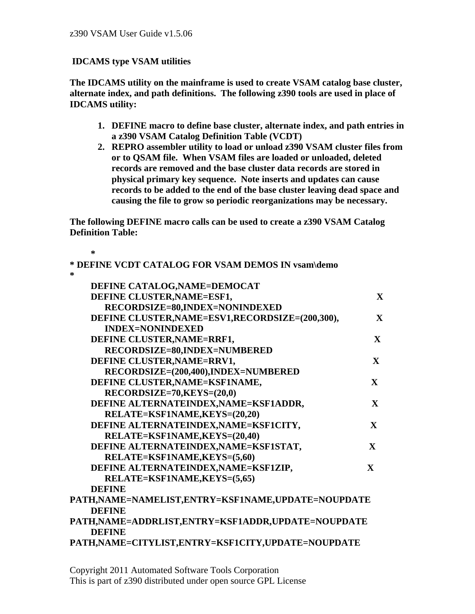### **IDCAMS type VSAM utilities**

**The IDCAMS utility on the mainframe is used to create VSAM catalog base cluster, alternate index, and path definitions. The following z390 tools are used in place of IDCAMS utility:** 

- **1. DEFINE macro to define base cluster, alternate index, and path entries in a z390 VSAM Catalog Definition Table (VCDT)**
- **2. REPRO assembler utility to load or unload z390 VSAM cluster files from or to QSAM file. When VSAM files are loaded or unloaded, deleted records are removed and the base cluster data records are stored in physical primary key sequence. Note inserts and updates can cause records to be added to the end of the base cluster leaving dead space and causing the file to grow so periodic reorganizations may be necessary.**

**The following DEFINE macro calls can be used to create a z390 VSAM Catalog Definition Table:** 

 **\* \* DEFINE VCDT CATALOG FOR VSAM DEMOS IN vsam\demo \* DEFINE CATALOG,NAME=DEMOCAT DEFINE CLUSTER, NAME=ESF1, X** X  **RECORDSIZE=80,INDEX=NONINDEXED DEFINE CLUSTER,NAME=ESV1,RECORDSIZE=(200,300), X INDEX=NONINDEXED DEFINE CLUSTER, NAME=RRF1, X** X  **RECORDSIZE=80,INDEX=NUMBERED DEFINE CLUSTER, NAME=RRV1, X** X  **RECORDSIZE=(200,400),INDEX=NUMBERED DEFINE CLUSTER,NAME=KSF1NAME, X RECORDSIZE=70,KEYS=(20,0) DEFINE ALTERNATEINDEX,NAME=KSF1ADDR, X RELATE=KSF1NAME,KEYS=(20,20) DEFINE ALTERNATEINDEX,NAME=KSF1CITY, X RELATE=KSF1NAME,KEYS=(20,40) DEFINE ALTERNATEINDEX,NAME=KSF1STAT, X RELATE=KSF1NAME,KEYS=(5,60) DEFINE ALTERNATEINDEX,NAME=KSF1ZIP, X RELATE=KSF1NAME,KEYS=(5,65) DEFINE PATH,NAME=NAMELIST,ENTRY=KSF1NAME,UPDATE=NOUPDATE DEFINE PATH,NAME=ADDRLIST,ENTRY=KSF1ADDR,UPDATE=NOUPDATE DEFINE PATH,NAME=CITYLIST,ENTRY=KSF1CITY,UPDATE=NOUPDATE**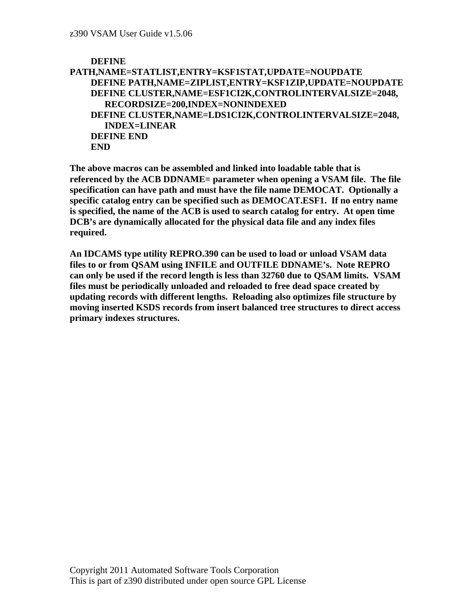```
 DEFINE 
PATH,NAME=STATLIST,ENTRY=KSF1STAT,UPDATE=NOUPDATE 
    DEFINE PATH,NAME=ZIPLIST,ENTRY=KSF1ZIP,UPDATE=NOUPDATE 
    DEFINE CLUSTER,NAME=ESF1CI2K,CONTROLINTERVALSIZE=2048, 
       RECORDSIZE=200,INDEX=NONINDEXED 
    DEFINE CLUSTER,NAME=LDS1CI2K,CONTROLINTERVALSIZE=2048, 
       INDEX=LINEAR 
    DEFINE END 
    END
```
**The above macros can be assembled and linked into loadable table that is referenced by the ACB DDNAME= parameter when opening a VSAM file. The file specification can have path and must have the file name DEMOCAT. Optionally a specific catalog entry can be specified such as DEMOCAT.ESF1. If no entry name is specified, the name of the ACB is used to search catalog for entry. At open time DCB's are dynamically allocated for the physical data file and any index files required.** 

**An IDCAMS type utility REPRO.390 can be used to load or unload VSAM data files to or from QSAM using INFILE and OUTFILE DDNAME's. Note REPRO can only be used if the record length is less than 32760 due to QSAM limits. VSAM files must be periodically unloaded and reloaded to free dead space created by updating records with different lengths. Reloading also optimizes file structure by moving inserted KSDS records from insert balanced tree structures to direct access primary indexes structures.**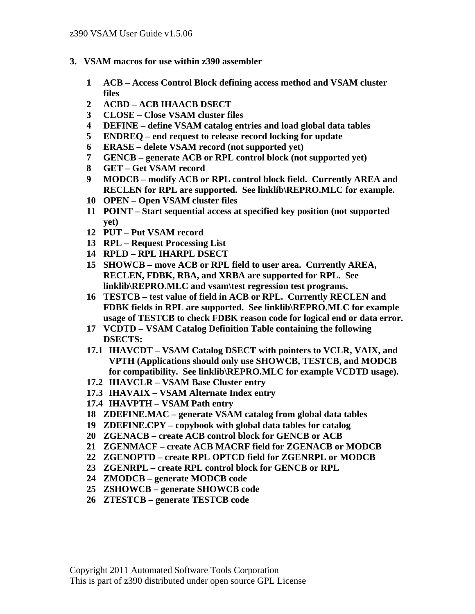- **3. VSAM macros for use within z390 assembler** 
	- **1 ACB Access Control Block defining access method and VSAM cluster files**
	- **2 ACBD ACB IHAACB DSECT**
	- **3 CLOSE Close VSAM cluster files**
	- **4 DEFINE define VSAM catalog entries and load global data tables**
	- **5 ENDREQ end request to release record locking for update**
	- **6 ERASE delete VSAM record (not supported yet)**
	- **7 GENCB generate ACB or RPL control block (not supported yet)**
	- **8 GET Get VSAM record**
	- **9 MODCB modify ACB or RPL control block field. Currently AREA and RECLEN for RPL are supported. See linklib\REPRO.MLC for example.**
	- **10 OPEN Open VSAM cluster files**
	- **11 POINT Start sequential access at specified key position (not supported yet)**
	- **12 PUT Put VSAM record**
	- **13 RPL Request Processing List**
	- **14 RPLD RPL IHARPL DSECT**
	- **15 SHOWCB move ACB or RPL field to user area. Currently AREA, RECLEN, FDBK, RBA, and XRBA are supported for RPL. See linklib\REPRO.MLC and vsam\test regression test programs.**
	- **16 TESTCB test value of field in ACB or RPL. Currently RECLEN and FDBK fields in RPL are supported. See linklib\REPRO.MLC for example usage of TESTCB to check FDBK reason code for logical end or data error.**
	- **17 VCDTD VSAM Catalog Definition Table containing the following DSECTS:**
	- **17.1 IHAVCDT VSAM Catalog DSECT with pointers to VCLR, VAIX, and VPTH (Applications should only use SHOWCB, TESTCB, and MODCB for compatibility. See linklib\REPRO.MLC for example VCDTD usage).**
	- **17.2 IHAVCLR VSAM Base Cluster entry**
	- **17.3 IHAVAIX VSAM Alternate Index entry**
	- **17.4 IHAVPTH VSAM Path entry**
	- **18 ZDEFINE.MAC generate VSAM catalog from global data tables**
	- **19 ZDEFINE.CPY copybook with global data tables for catalog**
	- **20 ZGENACB create ACB control block for GENCB or ACB**
	- **21 ZGENMACF create ACB MACRF field for ZGENACB or MODCB**
	- **22 ZGENOPTD create RPL OPTCD field for ZGENRPL or MODCB**
	- **23 ZGENRPL create RPL control block for GENCB or RPL**
	- **24 ZMODCB generate MODCB code**
	- **25 ZSHOWCB generate SHOWCB code**
	- **26 ZTESTCB generate TESTCB code**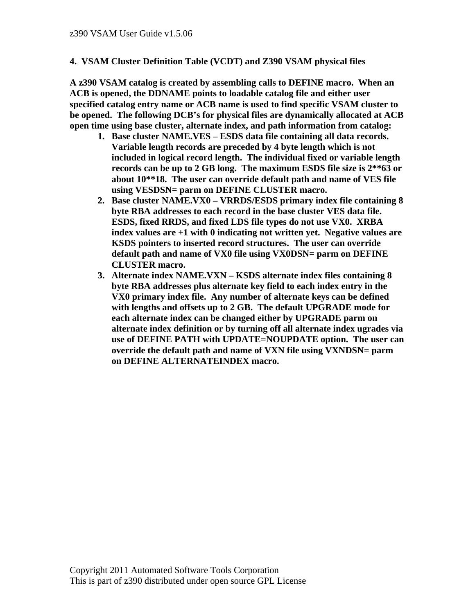#### **4. VSAM Cluster Definition Table (VCDT) and Z390 VSAM physical files**

**A z390 VSAM catalog is created by assembling calls to DEFINE macro. When an ACB is opened, the DDNAME points to loadable catalog file and either user specified catalog entry name or ACB name is used to find specific VSAM cluster to be opened. The following DCB's for physical files are dynamically allocated at ACB open time using base cluster, alternate index, and path information from catalog:** 

- **1. Base cluster NAME.VES ESDS data file containing all data records. Variable length records are preceded by 4 byte length which is not included in logical record length. The individual fixed or variable length records can be up to 2 GB long. The maximum ESDS file size is 2\*\*63 or about 10\*\*18. The user can override default path and name of VES file using VESDSN= parm on DEFINE CLUSTER macro.**
- **2. Base cluster NAME.VX0 VRRDS/ESDS primary index file containing 8 byte RBA addresses to each record in the base cluster VES data file. ESDS, fixed RRDS, and fixed LDS file types do not use VX0. XRBA index values are +1 with 0 indicating not written yet. Negative values are KSDS pointers to inserted record structures. The user can override default path and name of VX0 file using VX0DSN= parm on DEFINE CLUSTER macro.**
- **3. Alternate index NAME.VXN KSDS alternate index files containing 8 byte RBA addresses plus alternate key field to each index entry in the VX0 primary index file. Any number of alternate keys can be defined with lengths and offsets up to 2 GB. The default UPGRADE mode for each alternate index can be changed either by UPGRADE parm on alternate index definition or by turning off all alternate index ugrades via use of DEFINE PATH with UPDATE=NOUPDATE option. The user can override the default path and name of VXN file using VXNDSN= parm on DEFINE ALTERNATEINDEX macro.**